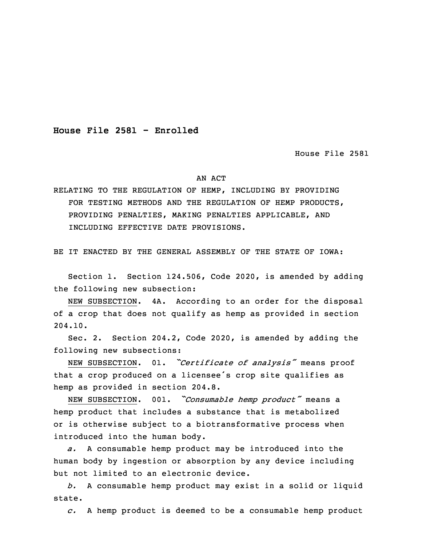**House File 2581 - Enrolled**

House File 2581

## AN ACT

RELATING TO THE REGULATION OF HEMP, INCLUDING BY PROVIDING FOR TESTING METHODS AND THE REGULATION OF HEMP PRODUCTS, PROVIDING PENALTIES, MAKING PENALTIES APPLICABLE, AND INCLUDING EFFECTIVE DATE PROVISIONS.

BE IT ENACTED BY THE GENERAL ASSEMBLY OF THE STATE OF IOWA:

 Section 1. Section 124.506, Code 2020, is amended by adding the following new subsection:

NEW SUBSECTION. 4A. According to an order for the disposal of <sup>a</sup> crop that does not qualify as hemp as provided in section 5 204.10.

Sec. 2. Section 204.2, Code 2020, is amended by adding the following new subsections:

<sup>8</sup> NEW SUBSECTION. 01. *"Certificate of analysis"* means proof that a crop produced on a licensee's crop site qualifies as hemp as provided in section 204.8.

 NEW SUBSECTION. 001. *"Consumable hemp product"* means <sup>a</sup> hemp product that includes <sup>a</sup> substance that is metabolized or is otherwise subject to a biotransformative process when introduced into the human body.

a. A consumable hemp product may be introduced into the human body by ingestion or absorption by any device including but not limited to an electronic device.

18 *b.* <sup>A</sup> consumable hemp product may exist in <sup>a</sup> solid or liquid state.

20 *c.* <sup>A</sup> hemp product is deemed to be <sup>a</sup> consumable hemp product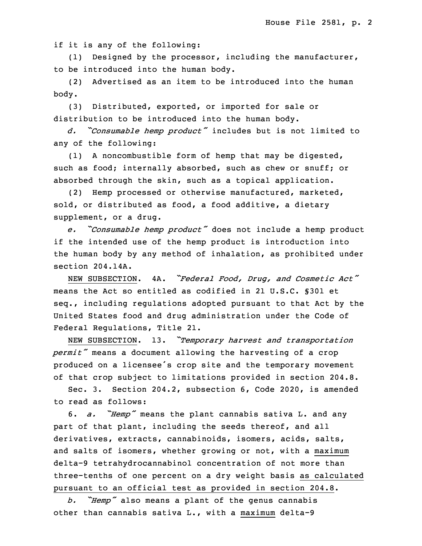if it is any of the following:

 (1) Designed by the processor, including the manufacturer, to be introduced into the human body.

 (2) Advertised as an item to be introduced into the human body.

(3) Distributed, exported, or imported for sale or distribution to be introduced into the human body.

<sup>28</sup> *d. "Consumable hemp product"* includes but is not limited to any of the following:

(1) A noncombustible form of hemp that may be digested, such as food; internally absorbed, such as chew or snuff; or absorbed through the skin, such as a topical application.

(2) Hemp processed or otherwise manufactured, marketed, sold, or distributed as food, a food additive, a dietary supplement, or a drug.

 *e. "Consumable hemp product"* does not include <sup>a</sup> hemp product if the intended use of the hemp product is introduction into the human body by any method of inhalation, as prohibited under section 204.14A.

<sup>5</sup> NEW SUBSECTION. 4A. *"Federal Food, Drug, and Cosmetic Act"* means the Act so entitled as codified in 21 U.S.C. §301 et seq., including regulations adopted pursuant to that Act by the United States food and drug administration under the Code of 9 Federal Regulations, Title 21.

<sup>10</sup> NEW SUBSECTION. 13. *"Temporary harvest and transportation permit"* means <sup>a</sup> document allowing the harvesting of <sup>a</sup> crop produced on <sup>a</sup> licensee's crop site and the temporary movement of that crop subject to limitations provided in section 204.8.

 Sec. 3. Section 204.2, subsection 6, Code 2020, is amended to read as follows:

<sup>16</sup> 6. *a. "Hemp"* means the plant cannabis sativa L. and any part of that plant, including the seeds thereof, and all derivatives, extracts, cannabinoids, isomers, acids, salts, and salts of isomers, whether growing or not, with a maximum delta-9 tetrahydrocannabinol concentration of not more than three-tenths of one percent on <sup>a</sup> dry weight basis as calculated pursuant to an official test as provided in section 204.8.

<sup>23</sup> *b. "Hemp"* also means <sup>a</sup> plant of the genus cannabis other than cannabis sativa L., with <sup>a</sup> maximum delta-9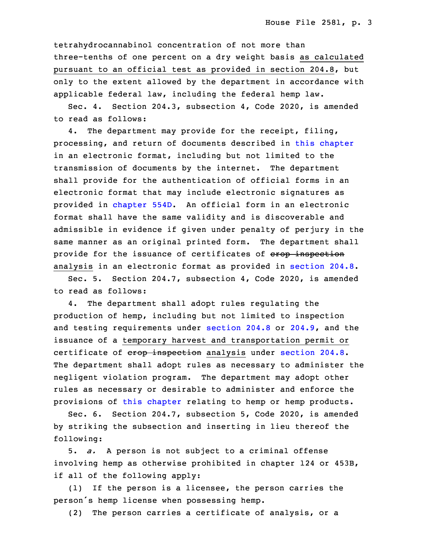tetrahydrocannabinol concentration of not more than three-tenths of one percent on a dry weight basis as calculated pursuant to an official test as provided in section 204.8, but only to the extent allowed by the department in accordance with applicable federal law, including the federal hemp law.

Sec. 4. Section 204.3, subsection 4, Code 2020, is amended to read as follows:

4. The department may provide for the receipt, filing, processing, and return of documents described in this [chapter](https://www.legis.iowa.gov/docs/code/2020/204.pdf) in an electronic format, including but not limited to the transmission of documents by the internet. The department shall provide for the authentication of official forms in an electronic format that may include electronic signatures as provided in [chapter](https://www.legis.iowa.gov/docs/code/2020/554D.pdf) 554D. An official form in an electronic format shall have the same validity and is discoverable and admissible in evidence if given under penalty of perjury in the same manner as an original printed form. The department shall provide for the issuance of certificates of erop inspection analysis in an electronic format as provided in [section](https://www.legis.iowa.gov/docs/code/2020/204.8.pdf) 204.8.

Sec. 5. Section 204.7, subsection 4, Code 2020, is amended to read as follows:

 4. The department shall adopt rules regulating the production of hemp, including but not limited to inspection and testing requirements under [section](https://www.legis.iowa.gov/docs/code/2020/204.8.pdf) 204.8 or [204.9](https://www.legis.iowa.gov/docs/code/2020/204.9.pdf), and the issuance of <sup>a</sup> temporary harvest and transportation permit or certificate of erop inspection analysis under [section](https://www.legis.iowa.gov/docs/code/2020/204.8.pdf) 204.8. The department shall adopt rules as necessary to administer the negligent violation program. The department may adopt other rules as necessary or desirable to administer and enforce the provisions of this [chapter](https://www.legis.iowa.gov/docs/code/2020/204.pdf) relating to hemp or hemp products.

Sec. 6. Section 204.7, subsection 5, Code 2020, is amended by striking the subsection and inserting in lieu thereof the following:

5. *a.* A person is not subject to a criminal offense involving hemp as otherwise prohibited in chapter 124 or 453B, if all of the following apply:

 $(1)$  If the person is a licensee, the person carries the person's hemp license when possessing hemp.

(2) The person carries a certificate of analysis, or a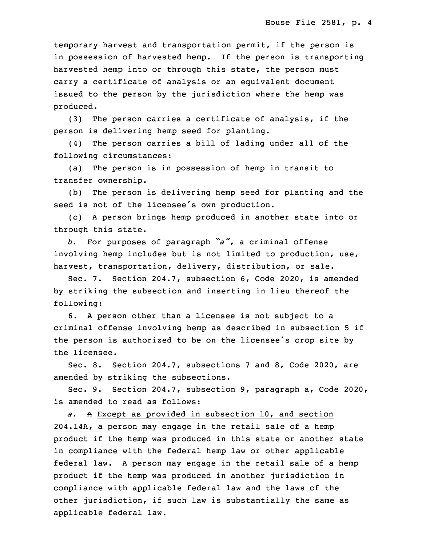temporary harvest and transportation permit, if the person is in possession of harvested hemp. If the person is transporting harvested hemp into or through this state, the person must carry a certificate of analysis or an equivalent document issued to the person by the jurisdiction where the hemp was produced.

(3) The person carries a certificate of analysis, if the person is delivering hemp seed for planting.

 (4) The person carries <sup>a</sup> bill of lading under all of the following circumstances:

 (a) The person is in possession of hemp in transit to transfer ownership.

(b) The person is delivering hemp seed for planting and the seed is not of the licensee's own production.

8 (c) <sup>A</sup> person brings hemp produced in another state into or through this state.

<sup>10</sup> *b.* For purposes of paragraph *"a"*, <sup>a</sup> criminal offense involving hemp includes but is not limited to production, use, harvest, transportation, delivery, distribution, or sale.

Sec. 7. Section 204.7, subsection 6, Code 2020, is amended by striking the subsection and inserting in lieu thereof the following:

6. A person other than a licensee is not subject to a criminal offense involving hemp as described in subsection 5 if the person is authorized to be on the licensee's crop site by the licensee.

Sec. 8. Section 204.7, subsections 7 and 8, Code 2020, are amended by striking the subsections.

 Sec. 9. Section 204.7, subsection 9, paragraph a, Code 2020, is amended to read as follows:

 *a.* <sup>A</sup> Except as provided in subsection 10, and section 204.14A, a person may engage in the retail sale of a hemp product if the hemp was produced in this state or another state in compliance with the federal hemp law or other applicable federal law. A person may engage in the retail sale of a hemp product if the hemp was produced in another jurisdiction in compliance with applicable federal law and the laws of the other jurisdiction, if such law is substantially the same as applicable federal law.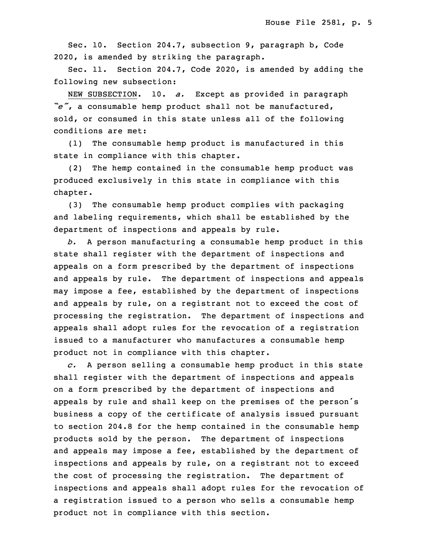Sec. 10. Section 204.7, subsection 9, paragraph b, Code 34 2020, is amended by striking the paragraph.

Sec. 11. Section 204.7, Code 2020, is amended by adding the following new subsection:

 NEW SUBSECTION. 10. *a.* Except as provided in paragraph <sup>3</sup> *"e"*, <sup>a</sup> consumable hemp product shall not be manufactured, sold, or consumed in this state unless all of the following conditions are met:

(1) The consumable hemp product is manufactured in this state in compliance with this chapter.

(2) The hemp contained in the consumable hemp product was 9 produced exclusively in this state in compliance with this chapter.

 (3) The consumable hemp product complies with packaging and labeling requirements, which shall be established by the department of inspections and appeals by rule.

 *b.* <sup>A</sup> person manufacturing <sup>a</sup> consumable hemp product in this state shall register with the department of inspections and appeals on a form prescribed by the department of inspections and appeals by rule. The department of inspections and appeals may impose a fee, established by the department of inspections and appeals by rule, on a registrant not to exceed the cost of processing the registration. The department of inspections and appeals shall adopt rules for the revocation of <sup>a</sup> registration issued to <sup>a</sup> manufacturer who manufactures <sup>a</sup> consumable hemp product not in compliance with this chapter.

 *c.* <sup>A</sup> person selling <sup>a</sup> consumable hemp product in this state shall register with the department of inspections and appeals 26 on <sup>a</sup> form prescribed by the department of inspections and appeals by rule and shall keep on the premises of the person's business a copy of the certificate of analysis issued pursuant to section 204.8 for the hemp contained in the consumable hemp products sold by the person. The department of inspections and appeals may impose a fee, established by the department of inspections and appeals by rule, on a registrant not to exceed the cost of processing the registration. The department of inspections and appeals shall adopt rules for the revocation of a registration issued to a person who sells a consumable hemp product not in compliance with this section.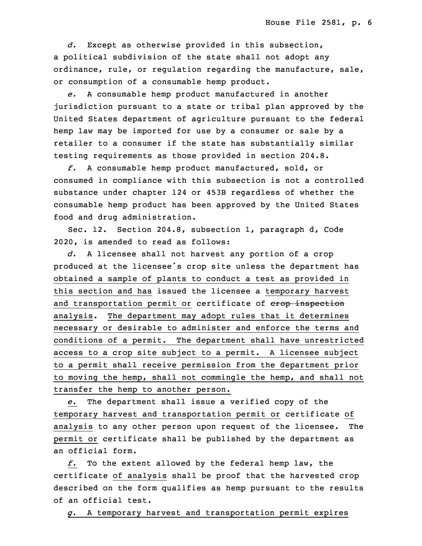*d.* Except as otherwise provided in this subsection, a political subdivision of the state shall not adopt any ordinance, rule, or regulation regarding the manufacture, sale, or consumption of a consumable hemp product.

6 *e.* <sup>A</sup> consumable hemp product manufactured in another jurisdiction pursuant to a state or tribal plan approved by the United States department of agriculture pursuant to the federal hemp law may be imported for use by a consumer or sale by a retailer to a consumer if the state has substantially similar testing requirements as those provided in section 204.8.

 *f.* <sup>A</sup> consumable hemp product manufactured, sold, or consumed in compliance with this subsection is not a controlled substance under chapter 124 or 453B regardless of whether the consumable hemp product has been approved by the United States food and drug administration.

Sec. 12. Section 204.8, subsection 1, paragraph d, Code 2020, is amended to read as follows:

d. A licensee shall not harvest any portion of a crop produced at the licensee's crop site unless the department has obtained <sup>a</sup> sample of plants to conduct <sup>a</sup> test as provided in this section and has issued the licensee <sup>a</sup> temporary harvest and transportation permit or certificate of erop inspection analysis. The department may adopt rules that it determines necessary or desirable to administer and enforce the terms and conditions of a permit. The department shall have unrestricted access to a crop site subject to a permit. A licensee subject to a permit shall receive permission from the department prior to moving the hemp, shall not commingle the hemp, and shall not transfer the hemp to another person.

31 *e.* The department shall issue <sup>a</sup> verified copy of the 32 temporary harvest and transportation permit or certificate of analysis to any other person upon request of the licensee. The permit or certificate shall be published by the department as an official form.

 *f.* To the extent allowed by the federal hemp law, the certificate of analysis shall be proof that the harvested crop described on the form qualifies as hemp pursuant to the results of an official test.

5 *g.* <sup>A</sup> temporary harvest and transportation permit expires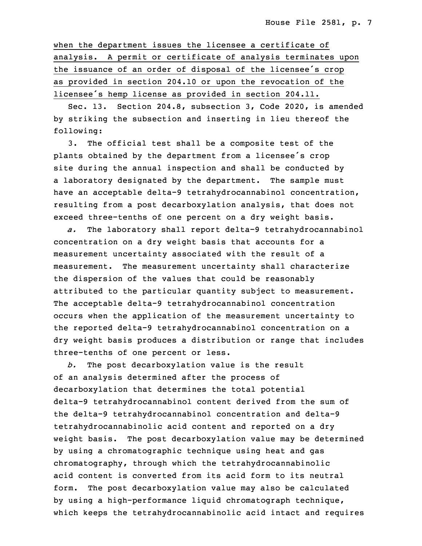when the department issues the licensee a certificate of analysis. A permit or certificate of analysis terminates upon the issuance of an order of disposal of the licensee's crop as provided in section 204.10 or upon the revocation of the licensee's hemp license as provided in section 204.11.

 Sec. 13. Section 204.8, subsection 3, Code 2020, is amended by striking the subsection and inserting in lieu thereof the following:

 3. The official test shall be <sup>a</sup> composite test of the plants obtained by the department from a licensee's crop site during the annual inspection and shall be conducted by a laboratory designated by the department. The sample must have an acceptable delta-9 tetrahydrocannabinol concentration, resulting from a post decarboxylation analysis, that does not exceed three-tenths of one percent on a dry weight basis.

 *a.* The laboratory shall report delta-9 tetrahydrocannabinol concentration on <sup>a</sup> dry weight basis that accounts for <sup>a</sup> measurement uncertainty associated with the result of a measurement. The measurement uncertainty shall characterize the dispersion of the values that could be reasonably attributed to the particular quantity subject to measurement. The acceptable delta-9 tetrahydrocannabinol concentration occurs when the application of the measurement uncertainty to the reported delta-9 tetrahydrocannabinol concentration on a dry weight basis produces a distribution or range that includes three-tenths of one percent or less.

b. The post decarboxylation value is the result of an analysis determined after the process of decarboxylation that determines the total potential delta-9 tetrahydrocannabinol content derived from the sum of the delta-9 tetrahydrocannabinol concentration and delta-9 tetrahydrocannabinolic acid content and reported on <sup>a</sup> dry weight basis. The post decarboxylation value may be determined by using <sup>a</sup> chromatographic technique using heat and gas chromatography, through which the tetrahydrocannabinolic acid content is converted from its acid form to its neutral form. The post decarboxylation value may also be calculated by using a high-performance liquid chromatograph technique, which keeps the tetrahydrocannabinolic acid intact and requires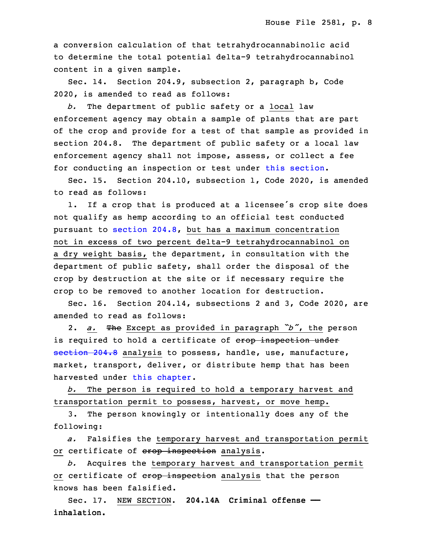a conversion calculation of that tetrahydrocannabinolic acid to determine the total potential delta-9 tetrahydrocannabinol content in <sup>a</sup> given sample.

Sec. 14. Section 204.9, subsection 2, paragraph b, Code 2020, is amended to read as follows:

b. The department of public safety or a local law enforcement agency may obtain a sample of plants that are part of the crop and provide for a test of that sample as provided in section 204.8. The department of public safety or a local law enforcement agency shall not impose, assess, or collect a fee for conducting an inspection or test under this [section](https://www.legis.iowa.gov/docs/code/2020/204.9.pdf).

 Sec. 15. Section 204.10, subsection 1, Code 2020, is amended to read as follows:

1. If a crop that is produced at a licensee's crop site does not qualify as hemp according to an official test conducted pursuant to [section](https://www.legis.iowa.gov/docs/code/2020/204.8.pdf)  $204.8$ , but has a maximum concentration not in excess of two percent delta-9 tetrahydrocannabinol on a dry weight basis, the department, in consultation with the department of public safety, shall order the disposal of the crop by destruction at the site or if necessary require the crop to be removed to another location for destruction.

Sec. 16. Section 204.14, subsections 2 and 3, Code 2020, are amended to read as follows:

<sup>33</sup> 2. *a.* The Except as provided in paragraph *"b"*, the person is required to hold a certificate of erop inspection under [section](https://www.legis.iowa.gov/docs/code/2020/204.8.pdf) 204.8 analysis to possess, handle, use, manufacture, market, transport, deliver, or distribute hemp that has been harvested under this [chapter](https://www.legis.iowa.gov/docs/code/2020/204.pdf).

b. The person is required to hold a temporary harvest and transportation permit to possess, harvest, or move hemp.

3. The person knowingly or intentionally does any of the following:

7 *a.* Falsifies the temporary harvest and transportation permit or certificate of erop inspection analysis.

9 *b.* Acquires the temporary harvest and transportation permit or certificate of crop inspection analysis that the person knows has been falsified.

 Sec. 17. NEW SECTION. **204.14A Criminal offense —** inhalation.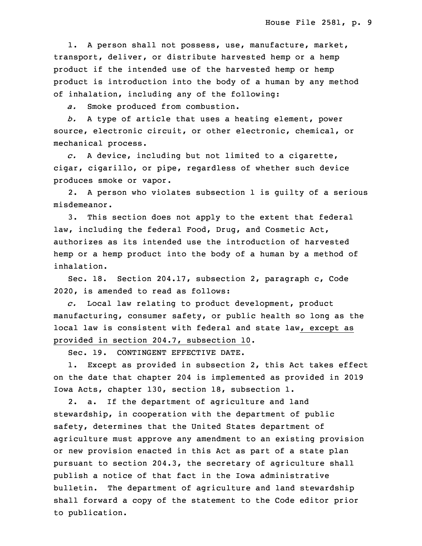1. A person shall not possess, use, manufacture, market, transport, deliver, or distribute harvested hemp or a hemp product if the intended use of the harvested hemp or hemp product is introduction into the body of a human by any method of inhalation, including any of the following:

a. Smoke produced from combustion.

20 *b.* <sup>A</sup> type of article that uses <sup>a</sup> heating element, power source, electronic circuit, or other electronic, chemical, or mechanical process.

23 *c.* <sup>A</sup> device, including but not limited to <sup>a</sup> cigarette, cigar, cigarillo, or pipe, regardless of whether such device produces smoke or vapor.

2. A person who violates subsection 1 is quilty of a serious misdemeanor.

3. This section does not apply to the extent that federal law, including the federal Food, Drug, and Cosmetic Act, authorizes as its intended use the introduction of harvested hemp or a hemp product into the body of a human by a method of inhalation.

Sec. 18. Section 204.17, subsection 2, paragraph c, Code 2020, is amended to read as follows:

35 *c.* Local law relating to product development, product manufacturing, consumer safety, or public health so long as the local law is consistent with federal and state law, except as provided in section 204.7, subsection 10.

Sec. 19. CONTINGENT EFFECTIVE DATE.

1. Except as provided in subsection 2, this Act takes effect 6 on the date that chapter 204 is implemented as provided in 2019 Iowa Acts, chapter 130, section 18, subsection 1.

2. a. If the department of agriculture and land stewardship, in cooperation with the department of public safety, determines that the United States department of agriculture must approve any amendment to an existing provision or new provision enacted in this Act as part of <sup>a</sup> state plan pursuant to section 204.3, the secretary of agriculture shall publish <sup>a</sup> notice of that fact in the Iowa administrative bulletin. The department of agriculture and land stewardship shall forward a copy of the statement to the Code editor prior to publication.